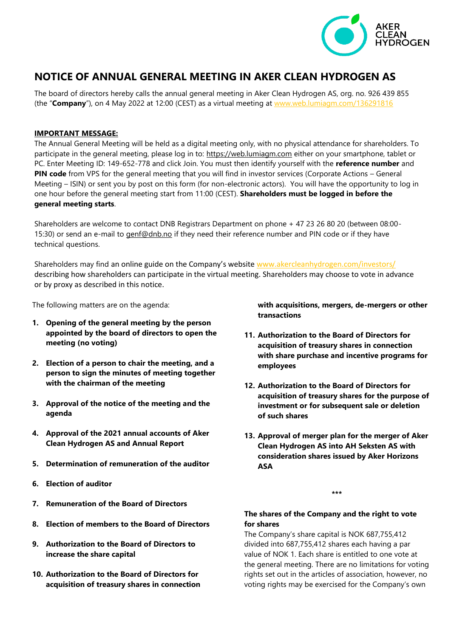

# **NOTICE OF ANNUAL GENERAL MEETING IN AKER CLEAN HYDROGEN AS**

The board of directors hereby calls the annual general meeting in Aker Clean Hydrogen AS, org. no. 926 439 855 (the "**Company**"), on 4 May 2022 at 12:00 (CEST) as a virtual meeting at [www.web.lumiagm.com/136291816](http://www.web.lumiagm.com/136291816)

## **IMPORTANT MESSAGE:**

The Annual General Meeting will be held as a digital meeting only, with no physical attendance for shareholders. To participate in the general meeting, please log in to: [https://web.lumiagm.com](https://web.lumiagm.com/) either on your smartphone, tablet or PC. Enter Meeting ID: 149-652-778 and click Join. You must then identify yourself with the **reference number** and **PIN code** from VPS for the general meeting that you will find in investor services (Corporate Actions – General Meeting – ISIN) or sent you by post on this form (for non-electronic actors). You will have the opportunity to log in one hour before the general meeting start from 11:00 (CEST). **Shareholders must be logged in before the general meeting starts**.

Shareholders are welcome to contact DNB Registrars Department on phone + 47 23 26 80 20 (between 08:00- 15:30) or send an e-mail to *genf@dnb.no* if they need their reference number and PIN code or if they have technical questions.

Shareholders may find an online guide on the Company's website [www.akercleanhydrogen.com/investors/](http://www.akercleanhydrogen.com/investors/) describing how shareholders can participate in the virtual meeting. Shareholders may choose to vote in advance or by proxy as described in this notice.

The following matters are on the agenda:

- **1. Opening of the general meeting by the person appointed by the board of directors to open the meeting (no voting)**
- **2. Election of a person to chair the meeting, and a person to sign the minutes of meeting together with the chairman of the meeting**
- **3. Approval of the notice of the meeting and the agenda**
- **4. Approval of the 2021 annual accounts of Aker Clean Hydrogen AS and Annual Report**
- **5. Determination of remuneration of the auditor**
- **6. Election of auditor**
- **7. Remuneration of the Board of Directors**
- **8. Election of members to the Board of Directors**
- **9. Authorization to the Board of Directors to increase the share capital**
- **10. Authorization to the Board of Directors for acquisition of treasury shares in connection**

**with acquisitions, mergers, de-mergers or other transactions**

- **11. Authorization to the Board of Directors for acquisition of treasury shares in connection with share purchase and incentive programs for employees**
- **12. Authorization to the Board of Directors for acquisition of treasury shares for the purpose of investment or for subsequent sale or deletion of such shares**
- **13. Approval of merger plan for the merger of Aker Clean Hydrogen AS into AH Seksten AS with consideration shares issued by Aker Horizons ASA**

**\*\*\***

## **The shares of the Company and the right to vote for shares**

The Company's share capital is NOK 687,755,412 divided into 687,755,412 shares each having a par value of NOK 1. Each share is entitled to one vote at the general meeting. There are no limitations for voting rights set out in the articles of association, however, no voting rights may be exercised for the Company's own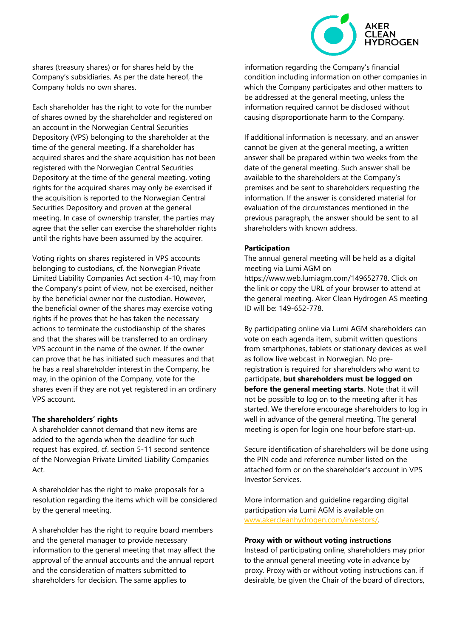

Each shareholder has the right to vote for the number of shares owned by the shareholder and registered on an account in the Norwegian Central Securities Depository (VPS) belonging to the shareholder at the time of the general meeting. If a shareholder has acquired shares and the share acquisition has not been registered with the Norwegian Central Securities Depository at the time of the general meeting, voting rights for the acquired shares may only be exercised if the acquisition is reported to the Norwegian Central Securities Depository and proven at the general meeting. In case of ownership transfer, the parties may agree that the seller can exercise the shareholder rights until the rights have been assumed by the acquirer.

Voting rights on shares registered in VPS accounts belonging to custodians, cf. the Norwegian Private Limited Liability Companies Act section 4-10, may from the Company's point of view, not be exercised, neither by the beneficial owner nor the custodian. However, the beneficial owner of the shares may exercise voting rights if he proves that he has taken the necessary actions to terminate the custodianship of the shares and that the shares will be transferred to an ordinary VPS account in the name of the owner. If the owner can prove that he has initiated such measures and that he has a real shareholder interest in the Company, he may, in the opinion of the Company, vote for the shares even if they are not yet registered in an ordinary VPS account.

#### **The shareholders' rights**

A shareholder cannot demand that new items are added to the agenda when the deadline for such request has expired, cf. section 5-11 second sentence of the Norwegian Private Limited Liability Companies Act.

A shareholder has the right to make proposals for a resolution regarding the items which will be considered by the general meeting.

A shareholder has the right to require board members and the general manager to provide necessary information to the general meeting that may affect the approval of the annual accounts and the annual report and the consideration of matters submitted to shareholders for decision. The same applies to

information regarding the Company's financial condition including information on other companies in which the Company participates and other matters to be addressed at the general meeting, unless the information required cannot be disclosed without causing disproportionate harm to the Company.

If additional information is necessary, and an answer cannot be given at the general meeting, a written answer shall be prepared within two weeks from the date of the general meeting. Such answer shall be available to the shareholders at the Company's premises and be sent to shareholders requesting the information. If the answer is considered material for evaluation of the circumstances mentioned in the previous paragraph, the answer should be sent to all shareholders with known address.

#### **Participation**

The annual general meeting will be held as a digital meeting via Lumi AGM on https://www.web.lumiagm.com/149652778. Click on the link or copy the URL of your browser to attend at the general meeting. Aker Clean Hydrogen AS meeting ID will be: 149-652-778.

By participating online via Lumi AGM shareholders can vote on each agenda item, submit written questions from smartphones, tablets or stationary devices as well as follow live webcast in Norwegian. No preregistration is required for shareholders who want to participate, **but shareholders must be logged on before the general meeting starts**. Note that it will not be possible to log on to the meeting after it has started. We therefore encourage shareholders to log in well in advance of the general meeting. The general meeting is open for login one hour before start-up.

Secure identification of shareholders will be done using the PIN code and reference number listed on the attached form or on the shareholder's account in VPS Investor Services.

More information and guideline regarding digital participation via Lumi AGM is available on [www.akercleanhydrogen.com/investors/.](http://www.akercleanhydrogen.com/investors/)

#### **Proxy with or without voting instructions**

Instead of participating online, shareholders may prior to the annual general meeting vote in advance by proxy. Proxy with or without voting instructions can, if desirable, be given the Chair of the board of directors,